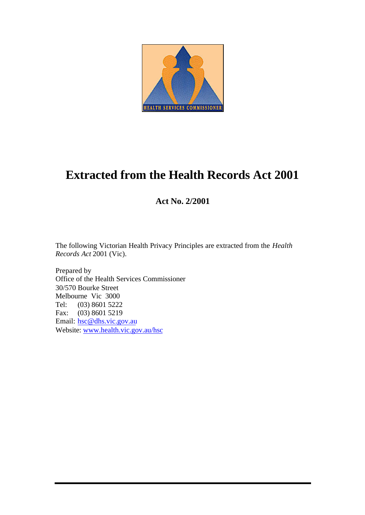

# **Extracted from the Health Records Act 2001**

# **Act No. 2/2001**

The following Victorian Health Privacy Principles are extracted from the *Health Records Act* 2001 (Vic).

Prepared by Office of the Health Services Commissioner 30/570 Bourke Street Melbourne Vic 3000 Tel: (03) 8601 5222 Fax: (03) 8601 5219 Email: hsc@dhs.vic.gov.au Website: www.health.vic.gov.au/hsc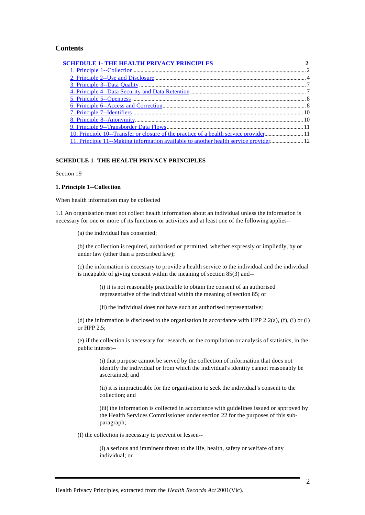# **Contents**

| <b>SCHEDULE 1- THE HEALTH PRIVACY PRINCIPLES</b>                                      |  |
|---------------------------------------------------------------------------------------|--|
|                                                                                       |  |
|                                                                                       |  |
|                                                                                       |  |
|                                                                                       |  |
|                                                                                       |  |
|                                                                                       |  |
|                                                                                       |  |
|                                                                                       |  |
|                                                                                       |  |
| 10. Principle 10--Transfer or closure of the practice of a health service provider 11 |  |
| 11. Principle 11--Making information available to another health service provider 12  |  |

# **SCHEDULE 1- THE HEALTH PRIVACY PRINCIPLES**

Section 19

#### **1. Principle 1--Collection**

When health information may be collected

1.1 An organisation must not collect health information about an individual unless the information is necessary for one or more of its functions or activities and at least one of the following applies--

(a) the individual has consented;

(b) the collection is required, authorised or permitted, whether expressly or impliedly, by or under law (other than a prescribed law);

(c) the information is necessary to provide a health service to the individual and the individual is incapable of giving consent within the meaning of section 85(3) and--

(i) it is not reasonably practicable to obtain the consent of an authorised representative of the individual within the meaning of section 85; or

(ii) the individual does not have such an authorised representative;

(d) the information is disclosed to the organisation in accordance with HPP 2.2(a), (f), (i) or (l) or HPP 2.5;

(e) if the collection is necessary for research, or the compilation or analysis of statistics, in the public interest--

(i) that purpose cannot be served by the collection of information that does not identify the individual or from which the individual's identity cannot reasonably be ascertained; and

(ii) it is impracticable for the organisation to seek the individual's consent to the collection; and

(iii) the information is collected in accordance with guidelines issued or approved by the Health Services Commissioner under section 22 for the purposes of this subparagraph;

(f) the collection is necessary to prevent or lessen--

(i) a serious and imminent threat to the life, health, safety or welfare of any individual; or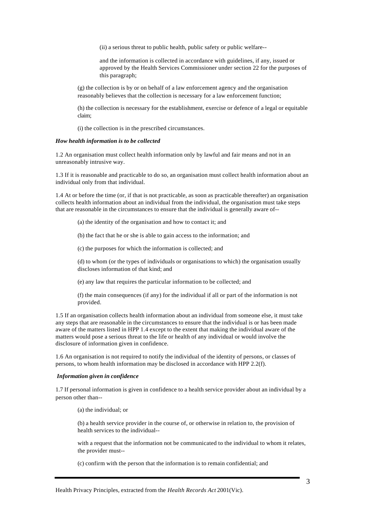(ii) a serious threat to public health, public safety or public welfare--

and the information is collected in accordance with guidelines, if any, issued or approved by the Health Services Commissioner under section 22 for the purposes of this paragraph;

(g) the collection is by or on behalf of a law enforcement agency and the organisation reasonably believes that the collection is necessary for a law enforcement function;

(h) the collection is necessary for the establishment, exercise or defence of a legal or equitable claim;

(i) the collection is in the prescribed circumstances.

#### *How health information is to be collected*

1.2 An organisation must collect health information only by lawful and fair means and not in an unreasonably intrusive way.

1.3 If it is reasonable and practicable to do so, an organisation must collect health information about an individual only from that individual.

1.4 At or before the time (or, if that is not practicable, as soon as practicable thereafter) an organisation collects health information about an individual from the individual, the organisation must take steps that are reasonable in the circumstances to ensure that the individual is generally aware of--

(a) the identity of the organisation and how to contact it; and

(b) the fact that he or she is able to gain access to the information; and

(c) the purposes for which the information is collected; and

(d) to whom (or the types of individuals or organisations to which) the organisation usually discloses information of that kind; and

(e) any law that requires the particular information to be collected; and

(f) the main consequences (if any) for the individual if all or part of the information is not provided.

1.5 If an organisation collects health information about an individual from someone else, it must take any steps that are reasonable in the circumstances to ensure that the individual is or has been made aware of the matters listed in HPP 1.4 except to the extent that making the individual aware of the matters would pose a serious threat to the life or health of any individual or would involve the disclosure of information given in confidence.

1.6 An organisation is not required to notify the individual of the identity of persons, or classes of persons, to whom health information may be disclosed in accordance with HPP 2.2(f).

#### *Information given in confidence*

1.7 If personal information is given in confidence to a health service provider about an individual by a person other than--

(a) the individual; or

(b) a health service provider in the course of, or otherwise in relation to, the provision of health services to the individual--

with a request that the information not be communicated to the individual to whom it relates, the provider must--

(c) confirm with the person that the information is to remain confidential; and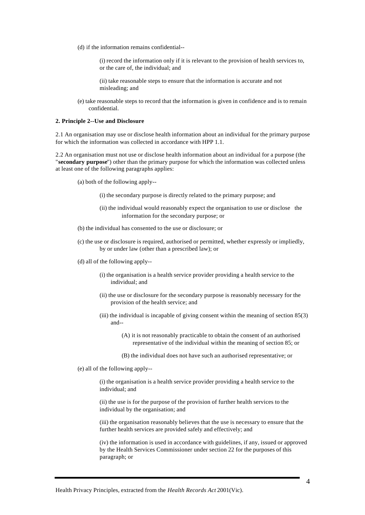(d) if the information remains confidential--

(i) record the information only if it is relevant to the provision of health services to, or the care of, the individual; and

(ii) take reasonable steps to ensure that the information is accurate and not misleading; and

(e) take reasonable steps to record that the information is given in confidence and is to remain confidential.

#### **2. Principle 2--Use and Disclosure**

2.1 An organisation may use or disclose health information about an individual for the primary purpose for which the information was collected in accordance with HPP 1.1.

2.2 An organisation must not use or disclose health information about an individual for a purpose (the "**secondary purpose**") other than the primary purpose for which the information was collected unless at least one of the following paragraphs applies:

- (a) both of the following apply--
	- (i) the secondary purpose is directly related to the primary purpose; and
	- (ii) the individual would reasonably expect the organisation to use or disclose the information for the secondary purpose; or
- (b) the individual has consented to the use or disclosure; or
- (c) the use or disclosure is required, authorised or permitted, whether expressly or impliedly, by or under law (other than a prescribed law); or
- (d) all of the following apply--
	- (i) the organisation is a health service provider providing a health service to the individual; and
	- (ii) the use or disclosure for the secondary purpose is reasonably necessary for the provision of the health service; and
	- (iii) the individual is incapable of giving consent within the meaning of section  $85(3)$ and--
		- (A) it is not reasonably practicable to obtain the consent of an authorised representative of the individual within the meaning of section 85; or
		- (B) the individual does not have such an authorised representative; or

(e) all of the following apply--

(i) the organisation is a health service provider providing a health service to the individual; and

(ii) the use is for the purpose of the provision of further health services to the individual by the organisation; and

(iii) the organisation reasonably believes that the use is necessary to ensure that the further health services are provided safely and effectively; and

(iv) the information is used in accordance with guidelines, if any, issued or approved by the Health Services Commissioner under section 22 for the purposes of this paragraph; or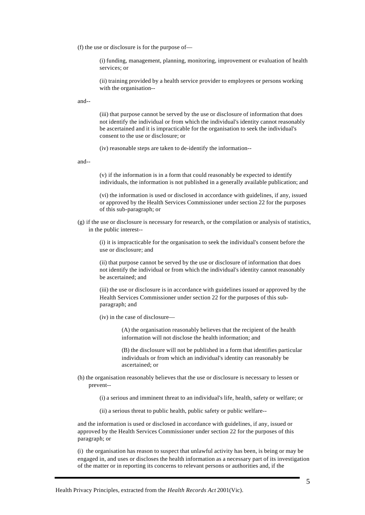(f) the use or disclosure is for the purpose of—

(i) funding, management, planning, monitoring, improvement or evaluation of health services; or

(ii) training provided by a health service provider to employees or persons working with the organisation--

and--

(iii) that purpose cannot be served by the use or disclosure of information that does not identify the individual or from which the individual's identity cannot reasonably be ascertained and it is impracticable for the organisation to seek the individual's consent to the use or disclosure; or

(iv) reasonable steps are taken to de-identify the information--

and--

(v) if the information is in a form that could reasonably be expected to identify individuals, the information is not published in a generally available publication; and

(vi) the information is used or disclosed in accordance with guidelines, if any, issued or approved by the Health Services Commissioner under section 22 for the purposes of this sub-paragraph; or

(g) if the use or disclosure is necessary for research, or the compilation or analysis of statistics, in the public interest--

(i) it is impracticable for the organisation to seek the individual's consent before the use or disclosure; and

(ii) that purpose cannot be served by the use or disclosure of information that does not identify the individual or from which the individual's identity cannot reasonably be ascertained; and

(iii) the use or disclosure is in accordance with guidelines issued or approved by the Health Services Commissioner under section 22 for the purposes of this subparagraph; and

(iv) in the case of disclosure—

(A) the organisation reasonably believes that the recipient of the health information will not disclose the health information; and

(B) the disclosure will not be published in a form that identifies particular individuals or from which an individual's identity can reasonably be ascertained; or

(h) the organisation reasonably believes that the use or disclosure is necessary to lessen or prevent--

(i) a serious and imminent threat to an individual's life, health, safety or welfare; or

(ii) a serious threat to public health, public safety or public welfare--

and the information is used or disclosed in accordance with guidelines, if any, issued or approved by the Health Services Commissioner under section 22 for the purposes of this paragraph; or

(i) the organisation has reason to suspect that unlawful activity has been, is being or may be engaged in, and uses or discloses the health information as a necessary part of its investigation of the matter or in reporting its concerns to relevant persons or authorities and, if the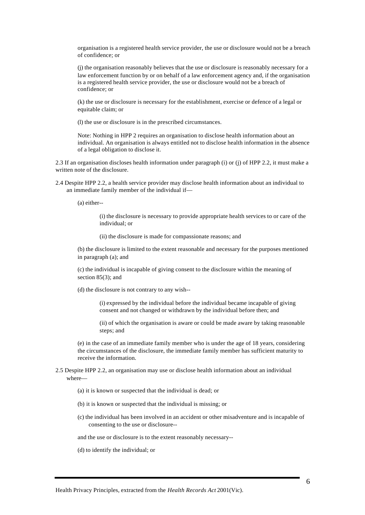organisation is a registered health service provider, the use or disclosure would not be a breach of confidence; or

(j) the organisation reasonably believes that the use or disclosure is reasonably necessary for a law enforcement function by or on behalf of a law enforcement agency and, if the organisation is a registered health service provider, the use or disclosure would not be a breach of confidence; or

(k) the use or disclosure is necessary for the establishment, exercise or defence of a legal or equitable claim; or

(l) the use or disclosure is in the prescribed circumstances.

Note: Nothing in HPP 2 requires an organisation to disclose health information about an individual. An organisation is always entitled not to disclose health information in the absence of a legal obligation to disclose it.

2.3 If an organisation discloses health information under paragraph (i) or (j) of HPP 2.2, it must make a written note of the disclosure.

2.4 Despite HPP 2.2, a health service provider may disclose health information about an individual to an immediate family member of the individual if—

(a) either--

(i) the disclosure is necessary to provide appropriate health services to or care of the individual; or

(ii) the disclosure is made for compassionate reasons; and

(b) the disclosure is limited to the extent reasonable and necessary for the purposes mentioned in paragraph (a); and

(c) the individual is incapable of giving consent to the disclosure within the meaning of section 85(3); and

(d) the disclosure is not contrary to any wish--

(i) expressed by the individual before the individual became incapable of giving consent and not changed or withdrawn by the individual before then; and

(ii) of which the organisation is aware or could be made aware by taking reasonable steps; and

(e) in the case of an immediate family member who is under the age of 18 years, considering the circumstances of the disclosure, the immediate family member has sufficient maturity to receive the information.

# 2.5 Despite HPP 2.2, an organisation may use or disclose health information about an individual where—

- (a) it is known or suspected that the individual is dead; or
- (b) it is known or suspected that the individual is missing; or
- (c) the individual has been involved in an accident or other misadventure and is incapable of consenting to the use or disclosure--

and the use or disclosure is to the extent reasonably necessary--

(d) to identify the individual; or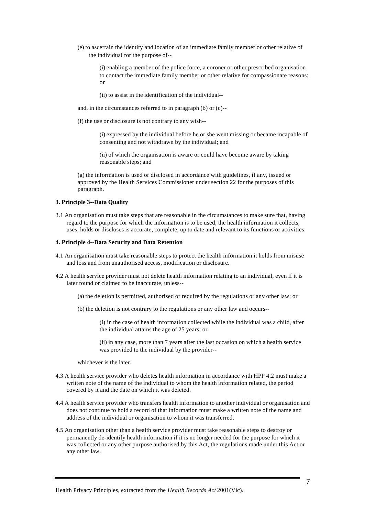(e) to ascertain the identity and location of an immediate family member or other relative of the individual for the purpose of--

(i) enabling a member of the police force, a coroner or other prescribed organisation to contact the immediate family member or other relative for compassionate reasons; or

- (ii) to assist in the identification of the individual--
- and, in the circumstances referred to in paragraph (b) or (c)--
- (f) the use or disclosure is not contrary to any wish--

(i) expressed by the individual before he or she went missing or became incapable of consenting and not withdrawn by the individual; and

(ii) of which the organisation is aware or could have become aware by taking reasonable steps; and

(g) the information is used or disclosed in accordance with guidelines, if any, issued or approved by the Health Services Commissioner under section 22 for the purposes of this paragraph.

## **3. Principle 3--Data Quality**

3.1 An organisation must take steps that are reasonable in the circumstances to make sure that, having regard to the purpose for which the information is to be used, the health information it collects, uses, holds or discloses is accurate, complete, up to date and relevant to its functions or activities.

#### **4. Principle 4--Data Security and Data Retention**

- 4.1 An organisation must take reasonable steps to protect the health information it holds from misuse and loss and from unauthorised access, modification or disclosure.
- 4.2 A health service provider must not delete health information relating to an individual, even if it is later found or claimed to be inaccurate, unless--
	- (a) the deletion is permitted, authorised or required by the regulations or any other law; or
	- (b) the deletion is not contrary to the regulations or any other law and occurs--

(i) in the case of health information collected while the individual was a child, after the individual attains the age of 25 years; or

(ii) in any case, more than 7 years after the last occasion on which a health service was provided to the individual by the provider--

whichever is the later.

- 4.3 A health service provider who deletes health information in accordance with HPP 4.2 must make a written note of the name of the individual to whom the health information related, the period covered by it and the date on which it was deleted.
- 4.4 A health service provider who transfers health information to another individual or organisation and does not continue to hold a record of that information must make a written note of the name and address of the individual or organisation to whom it was transferred.
- 4.5 An organisation other than a health service provider must take reasonable steps to destroy or permanently de-identify health information if it is no longer needed for the purpose for which it was collected or any other purpose authorised by this Act, the regulations made under this Act or any other law.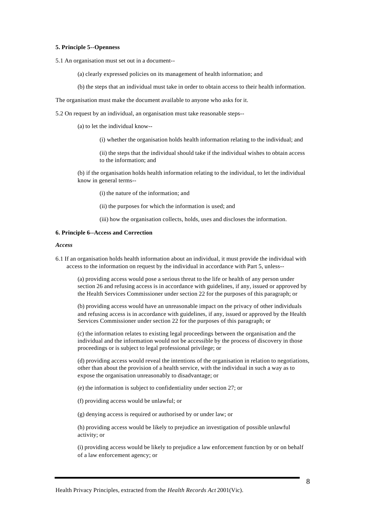#### **5. Principle 5--Openness**

5.1 An organisation must set out in a document--

(a) clearly expressed policies on its management of health information; and

(b) the steps that an individual must take in order to obtain access to their health information.

The organisation must make the document available to anyone who asks for it.

5.2 On request by an individual, an organisation must take reasonable steps--

(a) to let the individual know--

(i) whether the organisation holds health information relating to the individual; and

(ii) the steps that the individual should take if the individual wishes to obtain access to the information; and

(b) if the organisation holds health information relating to the individual, to let the individual know in general terms--

(i) the nature of the information; and

(ii) the purposes for which the information is used; and

(iii) how the organisation collects, holds, uses and discloses the information.

#### **6. Principle 6--Access and Correction**

#### *Access*

6.1 If an organisation holds health information about an individual, it must provide the individual with access to the information on request by the individual in accordance with Part 5, unless--

(a) providing access would pose a serious threat to the life or health of any person under section 26 and refusing access is in accordance with guidelines, if any, issued or approved by the Health Services Commissioner under section 22 for the purposes of this paragraph; or

(b) providing access would have an unreasonable impact on the privacy of other individuals and refusing access is in accordance with guidelines, if any, issued or approved by the Health Services Commissioner under section 22 for the purposes of this paragraph; or

(c) the information relates to existing legal proceedings between the organisation and the individual and the information would not be accessible by the process of discovery in those proceedings or is subject to legal professional privilege; or

(d) providing access would reveal the intentions of the organisation in relation to negotiations, other than about the provision of a health service, with the individual in such a way as to expose the organisation unreasonably to disadvantage; or

(e) the information is subject to confidentiality under section 27; or

(f) providing access would be unlawful; or

(g) denying access is required or authorised by or under law; or

(h) providing access would be likely to prejudice an investigation of possible unlawful activity; or

(i) providing access would be likely to prejudice a law enforcement function by or on behalf of a law enforcement agency; or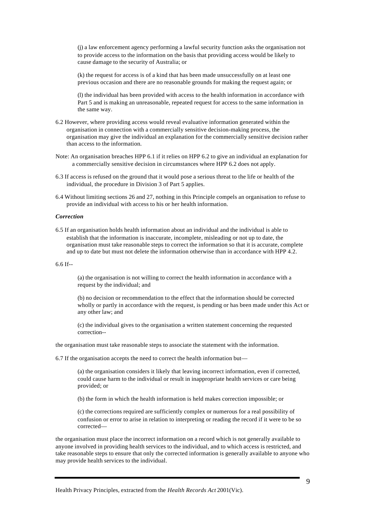(j) a law enforcement agency performing a lawful security function asks the organisation not to provide access to the information on the basis that providing access would be likely to cause damage to the security of Australia; or

(k) the request for access is of a kind that has been made unsuccessfully on at least one previous occasion and there are no reasonable grounds for making the request again; or

(l) the individual has been provided with access to the health information in accordance with Part 5 and is making an unreasonable, repeated request for access to the same information in the same way.

- 6.2 However, where providing access would reveal evaluative information generated within the organisation in connection with a commercially sensitive decision-making process, the organisation may give the individual an explanation for the commercially sensitive decision rather than access to the information.
- Note: An organisation breaches HPP 6.1 if it relies on HPP 6.2 to give an individual an explanation for a commercially sensitive decision in circumstances where HPP 6.2 does not apply.
- 6.3 If access is refused on the ground that it would pose a serious threat to the life or health of the individual, the procedure in Division 3 of Part 5 applies.
- 6.4 Without limiting sections 26 and 27, nothing in this Principle compels an organisation to refuse to provide an individual with access to his or her health information.

# *Correction*

6.5 If an organisation holds health information about an individual and the individual is able to establish that the information is inaccurate, incomplete, misleading or not up to date, the organisation must take reasonable steps to correct the information so that it is accurate, complete and up to date but must not delete the information otherwise than in accordance with HPP 4.2.

# 6.6 If--

(a) the organisation is not willing to correct the health information in accordance with a request by the individual; and

(b) no decision or recommendation to the effect that the information should be corrected wholly or partly in accordance with the request, is pending or has been made under this Act or any other law; and

(c) the individual gives to the organisation a written statement concerning the requested correction--

the organisation must take reasonable steps to associate the statement with the information.

6.7 If the organisation accepts the need to correct the health information but—

(a) the organisation considers it likely that leaving incorrect information, even if corrected, could cause harm to the individual or result in inappropriate health services or care being provided; or

(b) the form in which the health information is held makes correction impossible; or

(c) the corrections required are sufficiently complex or numerous for a real possibility of confusion or error to arise in relation to interpreting or reading the record if it were to be so corrected—

the organisation must place the incorrect information on a record which is not generally available to anyone involved in providing health services to the individual, and to which access is restricted, and take reasonable steps to ensure that only the corrected information is generally available to anyone who may provide health services to the individual.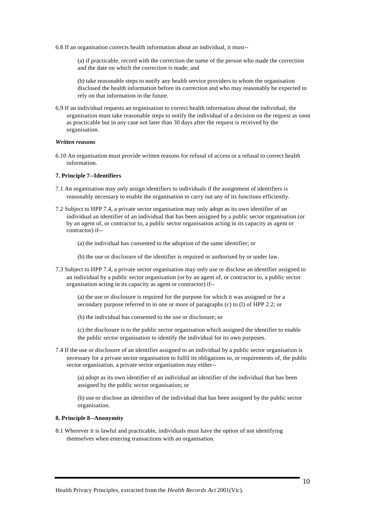6.8 If an organisation corrects health information about an individual, it must--

(a) if practicable, record with the correction the name of the person who made the correction and the date on which the correction is made; and

(b) take reasonable steps to notify any health service providers to whom the organisation disclosed the health information before its correction and who may reasonably be expected to rely on that information in the future.

6.9 If an individual requests an organisation to correct health information about the individual, the organisation must take reasonable steps to notify the individual of a decision on the request as soon as practicable but in any case not later than 30 days after the request is received by the organisation.

# *Written reasons*

6.10 An organisation must provide written reasons for refusal of access or a refusal to correct health information.

## **7. Principle 7--Identifiers**

- 7.1 An organisation may only assign identifiers to individuals if the assignment of identifiers is reasonably necessary to enable the organisation to carry out any of its functions efficiently.
- 7.2 Subject to HPP 7.4, a private sector organisation may only adopt as its own identifier of an individual an identifier of an individual that has been assigned by a public sector organisation (or by an agent of, or contractor to, a public sector organisation acting in its capacity as agent or contractor) if--

(a) the individual has consented to the adoption of the same identifier; or

- (b) the use or disclosure of the identifier is required or authorised by or under law.
- 7.3 Subject to HPP 7.4, a private sector organisation may only use or disclose an identifier assigned to an individual by a public sector organisation (or by an agent of, or contractor to, a public sector organisation acting in its capacity as agent or contractor) if--

(a) the use or disclosure is required for the purpose for which it was assigned or for a secondary purpose referred to in one or more of paragraphs (c) to (l) of HPP 2.2; or

(b) the individual has consented to the use or disclosure; or

(c) the disclosure is to the public sector organisation which assigned the identifier to enable the public sector organisation to identify the individual for its own purposes.

7.4 If the use or disclosure of an identifier assigned to an individual by a public sector organisation is necessary for a private sector organisation to fulfil its obligations to, or requirements of, the public sector organisation, a private sector organisation may either--

(a) adopt as its own identifier of an individual an identifier of the individual that has been assigned by the public sector organisation; or

(b) use or disclose an identifier of the individual that has been assigned by the public sector organisation.

# **8. Principle 8--Anonymity**

8.1 Wherever it is lawful and practicable, individuals must have the option of not identifying themselves when entering transactions with an organisation.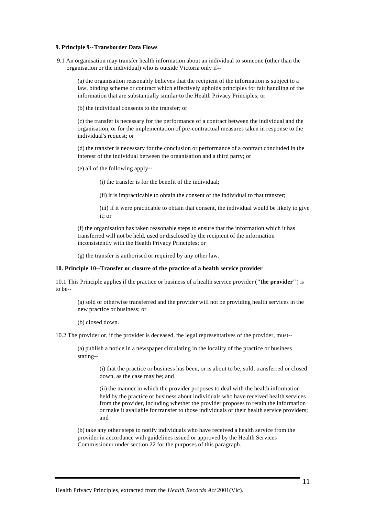#### **9. Principle 9--Transborder Data Flows**

 9.1 An organisation may transfer health information about an individual to someone (other than the organisation or the individual) who is outside Victoria only if--

(a) the organisation reasonably believes that the recipient of the information is subject to a law, binding scheme or contract which effectively upholds principles for fair handling of the information that are substantially similar to the Health Privacy Principles; or

(b) the individual consents to the transfer; or

(c) the transfer is necessary for the performance of a contract between the individual and the organisation, or for the implementation of pre-contractual measures taken in response to the individual's request; or

(d) the transfer is necessary for the conclusion or performance of a contract concluded in the interest of the individual between the organisation and a third party; or

(e) all of the following apply--

(i) the transfer is for the benefit of the individual;

(ii) it is impracticable to obtain the consent of the individual to that transfer;

(iii) if it were practicable to obtain that consent, the individual would be likely to give it; or

(f) the organisation has taken reasonable steps to ensure that the information which it has transferred will not be held, used or disclosed by the recipient of the information inconsistently with the Health Privacy Principles; or

(g) the transfer is authorised or required by any other law.

#### **10. Principle 10--Transfer or closure of the practice of a health service provider**

10.1 This Principle applies if the practice or business of a health service provider (**"the provider"**) is to be--

(a) sold or otherwise transferred and the provider will not be providing health services in the new practice or business; or

(b) closed down.

10.2 The provider or, if the provider is deceased, the legal representatives of the provider, must--

(a) publish a notice in a newspaper circulating in the locality of the practice or business stating--

(i) that the practice or business has been, or is about to be, sold, transferred or closed down, as the case may be; and

(ii) the manner in which the provider proposes to deal with the health information held by the practice or business about individuals who have received health services from the provider, including whether the provider proposes to retain the information or make it available for transfer to those individuals or their health service providers; and

(b) take any other steps to notify individuals who have received a health service from the provider in accordance with guidelines issued or approved by the Health Services Commissioner under section 22 for the purposes of this paragraph.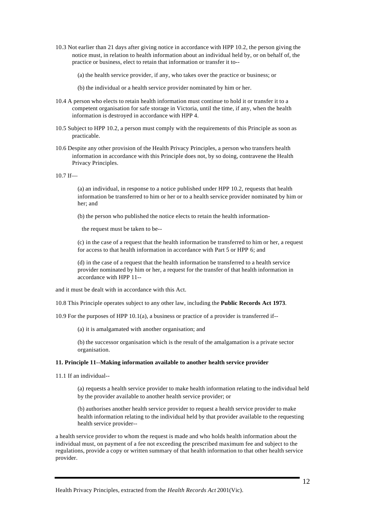10.3 Not earlier than 21 days after giving notice in accordance with HPP 10.2, the person giving the notice must, in relation to health information about an individual held by, or on behalf of, the practice or business, elect to retain that information or transfer it to--

(a) the health service provider, if any, who takes over the practice or business; or

(b) the individual or a health service provider nominated by him or her.

- 10.4 A person who elects to retain health information must continue to hold it or transfer it to a competent organisation for safe storage in Victoria, until the time, if any, when the health information is destroyed in accordance with HPP 4.
- 10.5 Subject to HPP 10.2, a person must comply with the requirements of this Principle as soon as practicable.
- 10.6 Despite any other provision of the Health Privacy Principles, a person who transfers health information in accordance with this Principle does not, by so doing, contravene the Health Privacy Principles.

10.7 If—

(a) an individual, in response to a notice published under HPP 10.2, requests that health information be transferred to him or her or to a health service provider nominated by him or her; and

(b) the person who published the notice elects to retain the health information-

the request must be taken to be--

(c) in the case of a request that the health information be transferred to him or her, a request for access to that health information in accordance with Part 5 or HPP 6; and

(d) in the case of a request that the health information be transferred to a health service provider nominated by him or her, a request for the transfer of that health information in accordance with HPP 11--

and it must be dealt with in accordance with this Act.

10.8 This Principle operates subject to any other law, including the **Public Records Act 1973**.

10.9 For the purposes of HPP 10.1(a), a business or practice of a provider is transferred if--

(a) it is amalgamated with another organisation; and

(b) the successor organisation which is the result of the amalgamation is a private sector organisation.

# **11. Principle 11--Making information available to another health service provider**

11.1 If an individual--

(a) requests a health service provider to make health information relating to the individual held by the provider available to another health service provider; or

(b) authorises another health service provider to request a health service provider to make health information relating to the individual held by that provider available to the requesting health service provider--

a health service provider to whom the request is made and who holds health information about the individual must, on payment of a fee not exceeding the prescribed maximum fee and subject to the regulations, provide a copy or written summary of that health information to that other health service provider.